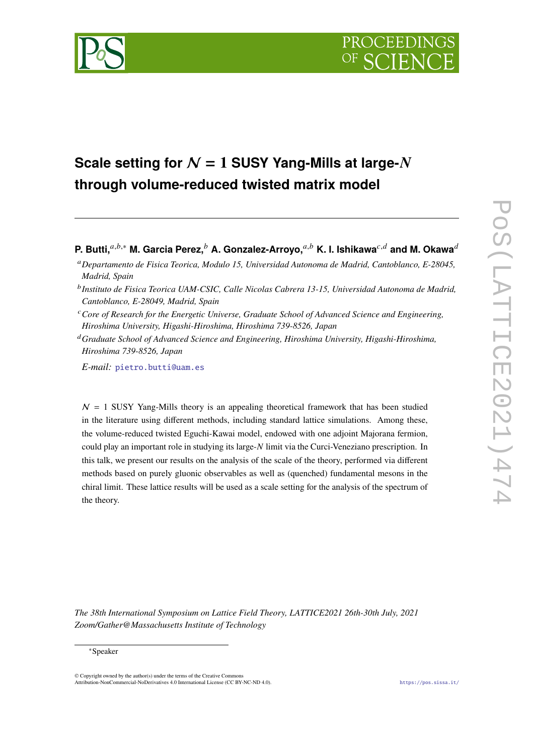<span id="page-0-0"></span>

# **Scale setting for**  $N = 1$  **<b>SUSY Yang-Mills at large-** $N$ **through volume-reduced twisted matrix model**

**P. Butti,** $a,b,*$  M. Garcia Perez, $b$  A. Gonzalez-Arroyo, $a,b$  K. I. Ishikawa $c,d$  and M. Okawa $d$ 

*E-mail:* [pietro.butti@uam.es](mailto:pietro.butti@uam.es)

 $N = 1$  SUSY Yang-Mills theory is an appealing theoretical framework that has been studied in the literature using different methods, including standard lattice simulations. Among these, the volume-reduced twisted Eguchi-Kawai model, endowed with one adjoint Majorana fermion, could play an important role in studying its large-N limit via the Curci-Veneziano prescription. In this talk, we present our results on the analysis of the scale of the theory, performed via different methods based on purely gluonic observables as well as (quenched) fundamental mesons in the chiral limit. These lattice results will be used as a scale setting for the analysis of the spectrum of the theory.

*The 38th International Symposium on Lattice Field Theory, LATTICE2021 26th-30th July, 2021 Zoom/Gather@Massachusetts Institute of Technology*

## <sup>∗</sup>Speaker

<sup>𝑎</sup>*Departamento de Fisica Teorica, Modulo 15, Universidad Autonoma de Madrid, Cantoblanco, E-28045, Madrid, Spain*

<sup>&</sup>lt;sup>b</sup> Instituto de Fisica Teorica UAM-CSIC, Calle Nicolas Cabrera 13-15, Universidad Autonoma de Madrid, *Cantoblanco, E-28049, Madrid, Spain*

<sup>&</sup>lt;sup>c</sup> Core of Research for the Energetic Universe, Graduate School of Advanced Science and Engineering, *Hiroshima University, Higashi-Hiroshima, Hiroshima 739-8526, Japan*

<sup>𝑑</sup>*Graduate School of Advanced Science and Engineering, Hiroshima University, Higashi-Hiroshima, Hiroshima 739-8526, Japan*

<sup>©</sup> Copyright owned by the author(s) under the terms of the Creative Commons Attribution-NonCommercial-NoDerivatives 4.0 International License (CC BY-NC-ND 4.0). <https://pos.sissa.it/>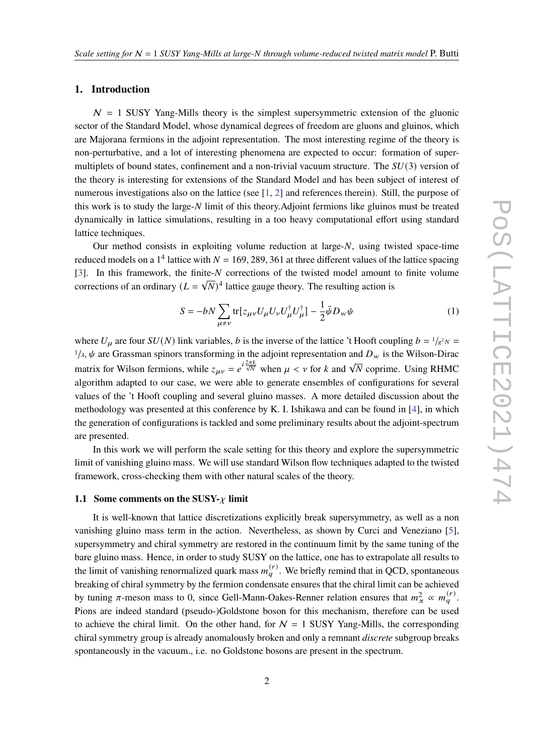# **1. Introduction**

 $N = 1$  SUSY Yang-Mills theory is the simplest supersymmetric extension of the gluonic sector of the Standard Model, whose dynamical degrees of freedom are gluons and gluinos, which are Majorana fermions in the adjoint representation. The most interesting regime of the theory is non-perturbative, and a lot of interesting phenomena are expected to occur: formation of supermultiplets of bound states, confinement and a non-trivial vacuum structure. The  $SU(3)$  version of the theory is interesting for extensions of the Standard Model and has been subject of interest of numerous investigations also on the lattice (see [\[1,](#page-7-0) [2\]](#page-7-1) and references therein). Still, the purpose of this work is to study the large- $N$  limit of this theory. Adjoint fermions like gluinos must be treated dynamically in lattice simulations, resulting in a too heavy computational effort using standard lattice techniques.

Our method consists in exploiting volume reduction at large- $N$ , using twisted space-time reduced models on a 1<sup>4</sup> lattice with  $N = 169, 289, 361$  at three different values of the lattice spacing [\[3\]](#page-7-2). In this framework, the finite- $N$  corrections of the twisted model amount to finite volume corrections of an ordinary  $(L = \sqrt{N})^4$  lattice gauge theory. The resulting action is

$$
S = -bN \sum_{\mu \neq \nu} \text{tr}[z_{\mu\nu} U_{\mu} U_{\nu} U_{\mu}^{\dagger} U_{\mu}^{\dagger}] - \frac{1}{2} \bar{\psi} D_{\nu\nu} \psi \tag{1}
$$

where  $U_{\mu}$  are four  $SU(N)$  link variables, b is the inverse of the lattice 't Hooft coupling  $b = \frac{1}{g^2 N}$  $1/\lambda$ ,  $\psi$  are Grassman spinors transforming in the adjoint representation and  $D_w$  is the Wilson-Dirac matrix for Wilson fermions, while  $z_{\mu\nu} = e^{i\frac{2\pi k}{\sqrt{N}}}$  when  $\mu < \nu$  for k and  $\sqrt{N}$  coprime. Using RHMC algorithm adapted to our case, we were able to generate ensembles of configurations for several values of the 't Hooft coupling and several gluino masses. A more detailed discussion about the methodology was presented at this conference by K. I. Ishikawa and can be found in [\[4\]](#page-8-0), in which the generation of configurations is tackled and some preliminary results about the adjoint-spectrum are presented.

In this work we will perform the scale setting for this theory and explore the supersymmetric limit of vanishing gluino mass. We will use standard Wilson flow techniques adapted to the twisted framework, cross-checking them with other natural scales of the theory.

#### **1.1 Some comments on the SUSY-** $\chi$  **limit**

It is well-known that lattice discretizations explicitly break supersymmetry, as well as a non vanishing gluino mass term in the action. Nevertheless, as shown by Curci and Veneziano [\[5\]](#page-8-1), supersymmetry and chiral symmetry are restored in the continuum limit by the same tuning of the bare gluino mass. Hence, in order to study SUSY on the lattice, one has to extrapolate all results to the limit of vanishing renormalized quark mass  $m_q^{(r)}$ . We briefly remind that in QCD, spontaneous breaking of chiral symmetry by the fermion condensate ensures that the chiral limit can be achieved by tuning  $\pi$ -meson mass to 0, since Gell-Mann-Oakes-Renner relation ensures that  $m_{\pi}^2 \propto m_q^{(r)}$ . Pions are indeed standard (pseudo-)Goldstone boson for this mechanism, therefore can be used to achieve the chiral limit. On the other hand, for  $N = 1$  SUSY Yang-Mills, the corresponding chiral symmetry group is already anomalously broken and only a remnant *discrete* subgroup breaks spontaneously in the vacuum., i.e. no Goldstone bosons are present in the spectrum.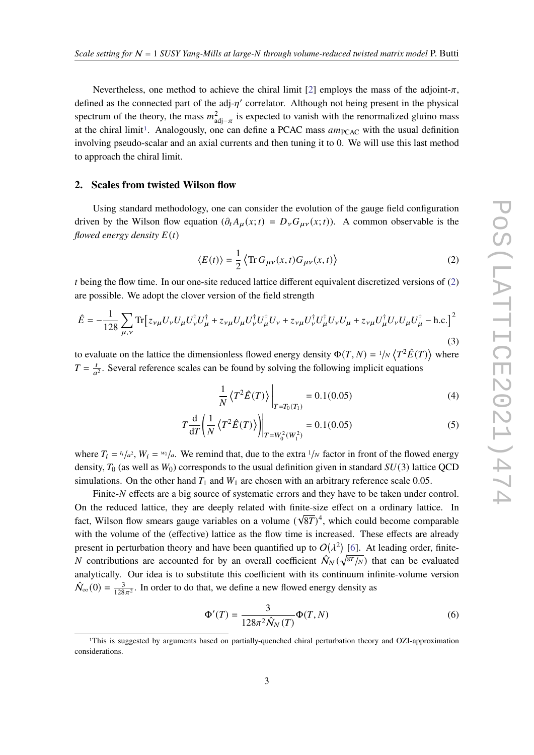Nevertheless, one method to achieve the chiral limit [\[2\]](#page-7-1) employs the mass of the adjoint- $\pi$ , defined as the connected part of the adj- $\eta'$  correlator. Although not being present in the physical spectrum of the theory, the mass  $m_{\text{adj}-\pi}^2$  is expected to vanish with the renormalized gluino mass at the chiral limit<sup>[1](#page-0-0)</sup>. Analogously, one can define a PCAC mass  $am<sub>PCAC</sub>$  with the usual definition involving pseudo-scalar and an axial currents and then tuning it to 0. We will use this last method to approach the chiral limit.

## **2. Scales from twisted Wilson flow**

Using standard methodology, one can consider the evolution of the gauge field configuration driven by the Wilson flow equation  $(\partial_t A_\mu(x;t)) = D_\nu G_{\mu\nu}(x;t)$ . A common observable is the *flowed energy density*  $E(t)$ 

<span id="page-2-0"></span>
$$
\langle E(t) \rangle = \frac{1}{2} \langle \text{Tr} \, G_{\mu\nu}(x, t) G_{\mu\nu}(x, t) \rangle \tag{2}
$$

t being the flow time. In our one-site reduced lattice different equivalent discretized versions of  $(2)$ are possible. We adopt the clover version of the field strength

$$
\hat{E} = -\frac{1}{128} \sum_{\mu,\nu} \text{Tr} \left[ z_{\nu\mu} U_{\nu} U_{\mu} U_{\nu}^{\dagger} U_{\mu}^{\dagger} + z_{\nu\mu} U_{\mu} U_{\nu}^{\dagger} U_{\mu}^{\dagger} U_{\nu} + z_{\nu\mu} U_{\nu}^{\dagger} U_{\mu} U_{\nu} U_{\mu} + z_{\nu\mu} U_{\mu}^{\dagger} U_{\nu} U_{\mu} U_{\mu}^{\dagger} - \text{h.c.} \right]^2
$$
\n(3)

to evaluate on the lattice the dimensionless flowed energy density  $\Phi(T, N) = \frac{1}{N} \langle T^2 \hat{E}(T) \rangle$  where  $T = \frac{t}{a}$  $\frac{t}{a^2}$ . Several reference scales can be found by solving the following implicit equations

$$
\frac{1}{N} \left\langle T^2 \hat{E}(T) \right\rangle \bigg|_{T = T_0(T_1)} = 0.1(0.05) \tag{4}
$$

$$
T\frac{d}{dT}\left(\frac{1}{N}\left\langle T^2\hat{E}(T)\right\rangle\right)\Big|_{T=W_0^2(W_1^2)} = 0.1(0.05)
$$
\n(5)

where  $T_i = t_i/a^2$ ,  $W_i = w_i/a$ . We remind that, due to the extra  $1/N$  factor in front of the flowed energy density,  $T_0$  (as well as  $W_0$ ) corresponds to the usual definition given in standard  $SU(3)$  lattice QCD simulations. On the other hand  $T_1$  and  $W_1$  are chosen with an arbitrary reference scale 0.05.

Finite-N effects are a big source of systematic errors and they have to be taken under control. On the reduced lattice, they are deeply related with finite-size effect on a ordinary lattice. In fact, Wilson flow smears gauge variables on a volume  $(\sqrt{8T})^4$ , which could become comparable with the volume of the (effective) lattice as the flow time is increased. These effects are already present in perturbation theory and have been quantified up to  $O(\lambda^2)$  [\[6\]](#page-8-2). At leading order, finite-N contributions are accounted for by an overall coefficient  $\hat{N}_N(\sqrt{8T_N})$  that can be evaluated analytically. Our idea is to substitute this coefficient with its continuum infinite-volume version  $\hat{\mathcal{N}}_{\infty}(0) = \frac{3}{128\pi^2}$ . In order to do that, we define a new flowed energy density as

$$
\Phi'(T) = \frac{3}{128\pi^2 \hat{N}_N(T)} \Phi(T, N) \tag{6}
$$

<sup>1</sup>This is suggested by arguments based on partially-quenched chiral perturbation theory and OZI-approximation considerations.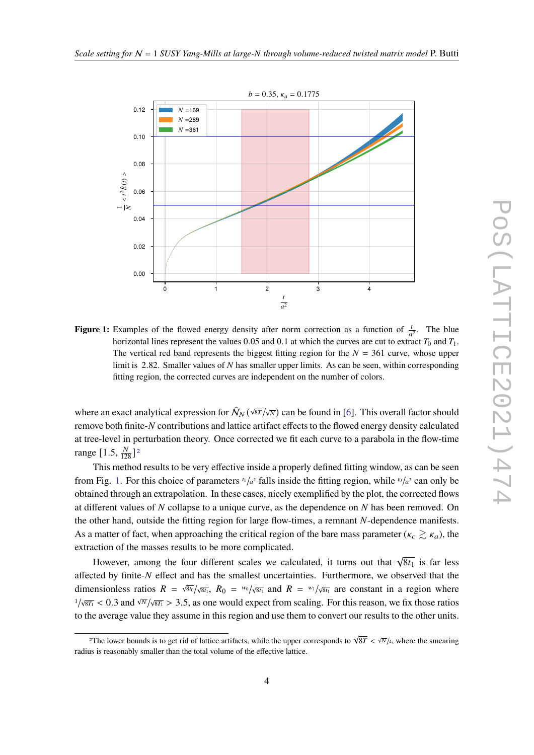<span id="page-3-0"></span>

**Figure 1:** Examples of the flowed energy density after norm correction as a function of  $\frac{t}{a^2}$ . The blue horizontal lines represent the values 0.05 and 0.1 at which the curves are cut to extract  $T_0$  and  $T_1$ . The vertical red band represents the biggest fitting region for the  $N = 361$  curve, whose upper limit is 2.82. Smaller values of  $N$  has smaller upper limits. As can be seen, within corresponding fitting region, the corrected curves are independent on the number of colors.

where an exact analytical expression for  $\hat{N}_N(\sqrt{8T}/\sqrt{N})$  can be found in [\[6\]](#page-8-2). This overall factor should remove both finite- $N$  contributions and lattice artifact effects to the flowed energy density calculated at tree-level in perturbation theory. Once corrected we fit each curve to a parabola in the flow-time range  $[1.5, \frac{N}{128}]^2$  $[1.5, \frac{N}{128}]^2$  $[1.5, \frac{N}{128}]^2$ 

This method results to be very effective inside a properly defined fitting window, as can be seen from Fig. [1.](#page-3-0) For this choice of parameters  $t_1/a^2$  falls inside the fitting region, while  $t_0/a^2$  can only be obtained through an extrapolation. In these cases, nicely exemplified by the plot, the corrected flows at different values of  $N$  collapse to a unique curve, as the dependence on  $N$  has been removed. On the other hand, outside the fitting region for large flow-times, a remnant N-dependence manifests. As a matter of fact, when approaching the critical region of the bare mass parameter ( $\kappa_c \gtrsim \kappa_a$ ), the extraction of the masses results to be more complicated.

However, among the four different scales we calculated, it turns out that  $\sqrt{8t_1}$  is far less affected by finite- $N$  effect and has the smallest uncertainties. Furthermore, we observed that the dimensionless ratios  $R = \sqrt{8t_0}/\sqrt{8t_1}$ ,  $R_0 = w_0/\sqrt{8t_1}$  and  $R = w_1/\sqrt{8t_1}$  are constant in a region where  $1/\sqrt{8T_1}$  < 0.3 and  $\sqrt{N}/\sqrt{8T_1}$  > 3.5, as one would expect from scaling. For this reason, we fix those ratios to the average value they assume in this region and use them to convert our results to the other units.

<sup>&</sup>lt;sup>2</sup>The lower bounds is to get rid of lattice artifacts, while the upper corresponds to  $\sqrt{8T} < \sqrt{N}/4$ , where the smearing radius is reasonably smaller than the total volume of the effective lattice.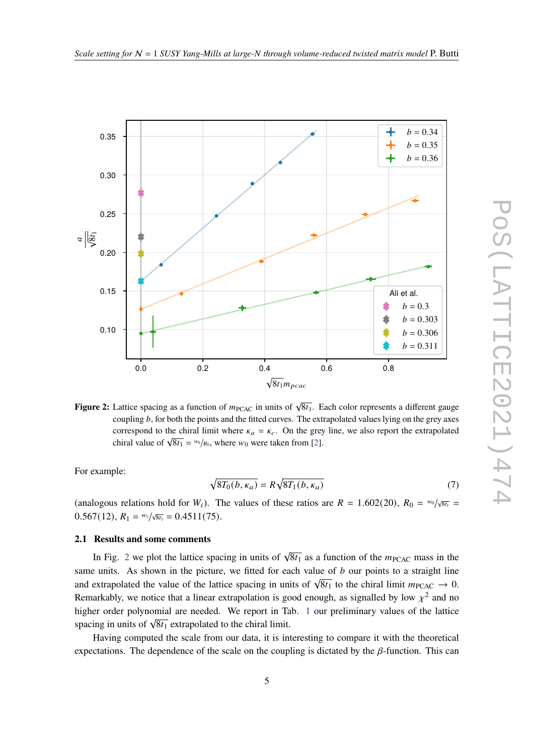<span id="page-4-0"></span>



**Figure 2:** Lattice spacing as a function of  $m_{\text{PCAC}}$  in units of  $\sqrt{8t_1}$ . Each color represents a different gauge coupling *b*, for both the points and the fitted curves. The extrapolated values lying on the grey axes correspond to the chiral limit where  $\kappa_a = \kappa_c$ . On the grey line, we also report the extrapolated correspond to the enharmont where  $\kappa_a = \kappa_c$ . On the greg<br>chiral value of  $\sqrt{8t_1} = w_0/\kappa_0$ , where  $w_0$  were taken from [\[2\]](#page-7-1).

For example:

$$
\sqrt{8T_0(b,\kappa_a)} = R\sqrt{8T_1(b,\kappa_a)}\tag{7}
$$

(analogous relations hold for  $W_i$ ). The values of these ratios are  $R = 1.602(20)$ ,  $R_0 = w_0/\sqrt{8t_1}$  $0.567(12), R_1 = \frac{w_1}{\sqrt{8t_1}} = 0.4511(75).$ 

#### **2.1 Results and some comments**

In Fig. [2](#page-4-0) we plot the lattice spacing in units of  $\sqrt{8t_1}$  as a function of the  $m_{\text{PCAC}}$  mass in the same units. As shown in the picture, we fitted for each value of  $b$  our points to a straight line and extrapolated the value of the lattice spacing in units of  $\sqrt{8t_1}$  to the chiral limit  $m_{\text{PCAC}} \rightarrow 0$ . Remarkably, we notice that a linear extrapolation is good enough, as signalled by low  $\chi^2$  and no higher order polynomial are needed. We report in Tab. [1](#page-5-0) our preliminary values of the lattice spacing in units of  $\sqrt{8t_1}$  extrapolated to the chiral limit.

Having computed the scale from our data, it is interesting to compare it with the theoretical expectations. The dependence of the scale on the coupling is dictated by the  $\beta$ -function. This can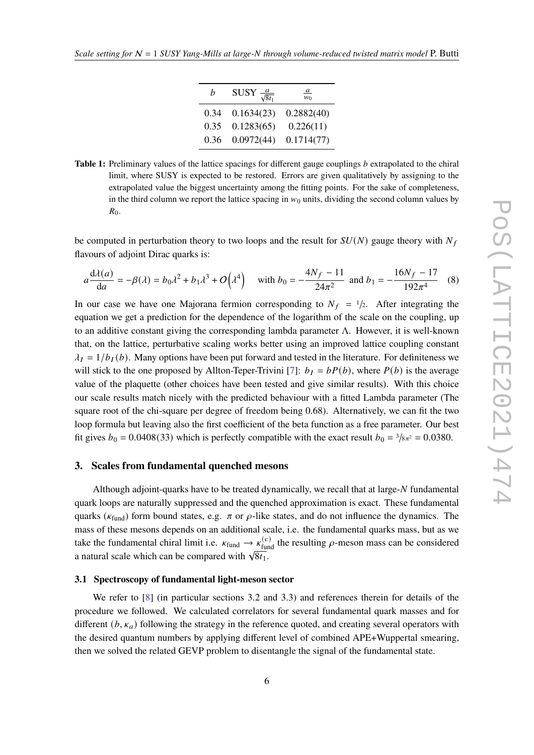| h    | SUSY $\frac{a}{\sqrt{8t_1}}$ | $\frac{a}{a}$<br>$w_0$ |
|------|------------------------------|------------------------|
| 0.34 | 0.1634(23)                   | 0.2882(40)             |
| 0.35 | 0.1283(65)                   | 0.226(11)              |
| 0.36 | 0.0972(44)                   | 0.1714(77)             |

<span id="page-5-0"></span>**Table 1:** Preliminary values of the lattice spacings for different gauge couplings b extrapolated to the chiral limit, where SUSY is expected to be restored. Errors are given qualitatively by assigning to the extrapolated value the biggest uncertainty among the fitting points. For the sake of completeness, in the third column we report the lattice spacing in  $w_0$  units, dividing the second column values by  $R_0$ .

be computed in perturbation theory to two loops and the result for  $SU(N)$  gauge theory with  $N_f$ flavours of adjoint Dirac quarks is:

$$
a\frac{d\lambda(a)}{da} = -\beta(\lambda) = b_0\lambda^2 + b_1\lambda^3 + O(\lambda^4) \quad \text{with } b_0 = -\frac{4N_f - 11}{24\pi^2} \text{ and } b_1 = -\frac{16N_f - 17}{192\pi^4} \quad (8)
$$

In our case we have one Majorana fermion corresponding to  $N_f = 1/2$ . After integrating the equation we get a prediction for the dependence of the logarithm of the scale on the coupling, up to an additive constant giving the corresponding lambda parameter Λ. However, it is well-known that, on the lattice, perturbative scaling works better using an improved lattice coupling constant  $\lambda_I = 1/b_I(b)$ . Many options have been put forward and tested in the literature. For definiteness we will stick to the one proposed by Allton-Teper-Trivini [\[7\]](#page-8-3):  $b_I = bP(b)$ , where  $P(b)$  is the average value of the plaquette (other choices have been tested and give similar results). With this choice our scale results match nicely with the predicted behaviour with a fitted Lambda parameter (The square root of the chi-square per degree of freedom being 0.68). Alternatively, we can fit the two loop formula but leaving also the first coefficient of the beta function as a free parameter. Our best fit gives  $b_0 = 0.0408(33)$  which is perfectly compatible with the exact result  $b_0 = 3/s_{\pi^2} = 0.0380$ .

# **3. Scales from fundamental quenched mesons**

Although adjoint-quarks have to be treated dynamically, we recall that at large- $N$  fundamental quark loops are naturally suppressed and the quenched approximation is exact. These fundamental quarks ( $\kappa_{fund}$ ) form bound states, e.g.  $\pi$  or  $\rho$ -like states, and do not influence the dynamics. The mass of these mesons depends on an additional scale, i.e. the fundamental quarks mass, but as we take the fundamental chiral limit i.e.  $\kappa_{\text{fund}} \rightarrow \kappa_{\text{fund}}^{(c)}$  the resulting  $\rho$ -meson mass can be considered a natural scale which can be compared with  $\sqrt{8t_1}$ .

#### **3.1 Spectroscopy of fundamental light-meson sector**

We refer to [\[8\]](#page-8-4) (in particular sections 3.2 and 3.3) and references therein for details of the procedure we followed. We calculated correlators for several fundamental quark masses and for different  $(b, \kappa_a)$  following the strategy in the reference quoted, and creating several operators with the desired quantum numbers by applying different level of combined APE+Wuppertal smearing, then we solved the related GEVP problem to disentangle the signal of the fundamental state.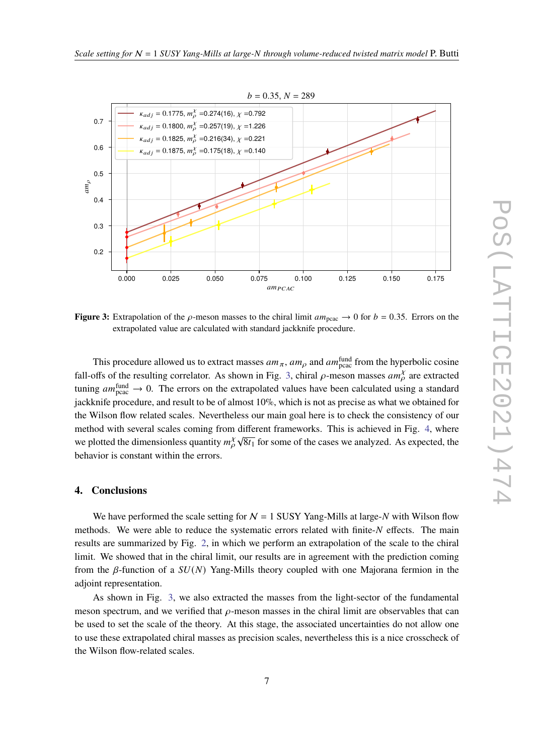<span id="page-6-0"></span>

**Figure 3:** Extrapolation of the  $\rho$ -meson masses to the chiral limit  $am_{\text{pcac}} \rightarrow 0$  for  $b = 0.35$ . Errors on the extrapolated value are calculated with standard jackknife procedure.

This procedure allowed us to extract masses  $am_{\pi}$ ,  $am_{\rho}$  and  $am_{\text{pca}}^{\text{fund}}$  from the hyperbolic cosine fall-offs of the resulting correlator. As shown in Fig. [3,](#page-6-0) chiral  $\rho$ -meson masses  $am_{\rho}^{\gamma}$  are extracted tuning  $am_{\text{pca}}^{\text{fund}} \rightarrow 0$ . The errors on the extrapolated values have been calculated using a standard jackknife procedure, and result to be of almost 10%, which is not as precise as what we obtained for the Wilson flow related scales. Nevertheless our main goal here is to check the consistency of our method with several scales coming from different frameworks. This is achieved in Fig. [4,](#page-7-3) where we plotted the dimensionless quantity  $m_{\rho}^{\chi}$  $\sqrt{8t_1}$  for some of the cases we analyzed. As expected, the behavior is constant within the errors.

#### **4. Conclusions**

We have performed the scale setting for  $N = 1$  SUSY Yang-Mills at large- $N$  with Wilson flow methods. We were able to reduce the systematic errors related with finite-N effects. The main results are summarized by Fig. [2,](#page-4-0) in which we perform an extrapolation of the scale to the chiral limit. We showed that in the chiral limit, our results are in agreement with the prediction coming from the  $\beta$ -function of a  $SU(N)$  Yang-Mills theory coupled with one Majorana fermion in the adjoint representation.

As shown in Fig. [3,](#page-6-0) we also extracted the masses from the light-sector of the fundamental meson spectrum, and we verified that  $\rho$ -meson masses in the chiral limit are observables that can be used to set the scale of the theory. At this stage, the associated uncertainties do not allow one to use these extrapolated chiral masses as precision scales, nevertheless this is a nice crosscheck of the Wilson flow-related scales.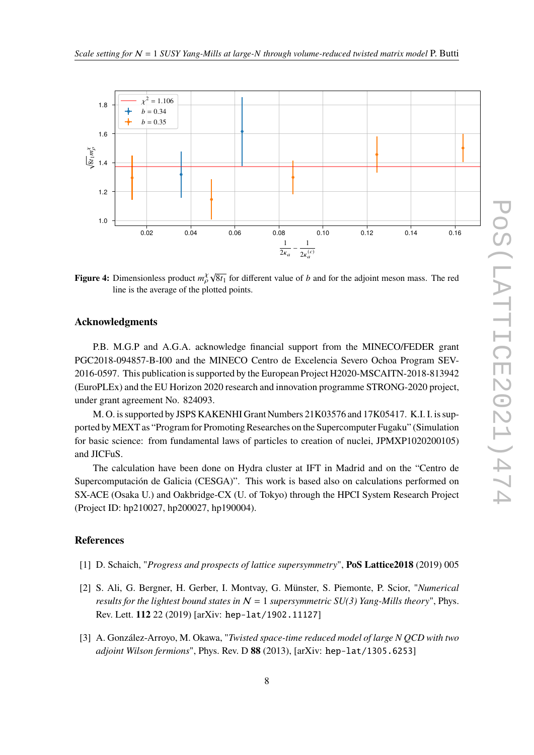<span id="page-7-3"></span>

**Figure 4:** Dimensionless product  $m^{\chi}_{\rho} \sqrt{8t_1}$  for different value of *b* and for the adjoint meson mass. The red line is the average of the plotted points.

## **Acknowledgments**

P.B. M.G.P and A.G.A. acknowledge financial support from the MINECO/FEDER grant PGC2018-094857-B-I00 and the MINECO Centro de Excelencia Severo Ochoa Program SEV-2016-0597. This publication is supported by the European Project H2020-MSCAITN-2018-813942 (EuroPLEx) and the EU Horizon 2020 research and innovation programme STRONG-2020 project, under grant agreement No. 824093.

M. O. is supported by JSPS KAKENHI Grant Numbers 21K03576 and 17K05417. K.I. I. is supported by MEXT as "Program for Promoting Researches on the Supercomputer Fugaku" (Simulation for basic science: from fundamental laws of particles to creation of nuclei, JPMXP1020200105) and JICFuS.

The calculation have been done on Hydra cluster at IFT in Madrid and on the "Centro de Supercomputación de Galicia (CESGA)". This work is based also on calculations performed on SX-ACE (Osaka U.) and Oakbridge-CX (U. of Tokyo) through the HPCI System Research Project (Project ID: hp210027, hp200027, hp190004).

## **References**

- <span id="page-7-0"></span>[1] D. Schaich, "*Progress and prospects of lattice supersymmetry*", **PoS Lattice2018** (2019) 005
- <span id="page-7-1"></span>[2] S. Ali, G. Bergner, H. Gerber, I. Montvay, G. Münster, S. Piemonte, P. Scior, "*Numerical results for the lightest bound states in*  $N = 1$  *supersymmetric SU(3) Yang-Mills theory*", Phys. Rev. Lett. **112** 22 (2019) [arXiv: hep-lat/1902.11127]
- <span id="page-7-2"></span>[3] A. González-Arroyo, M. Okawa, "*Twisted space-time reduced model of large N QCD with two adjoint Wilson fermions*", Phys. Rev. D **88** (2013), [arXiv: hep-lat/1305.6253]